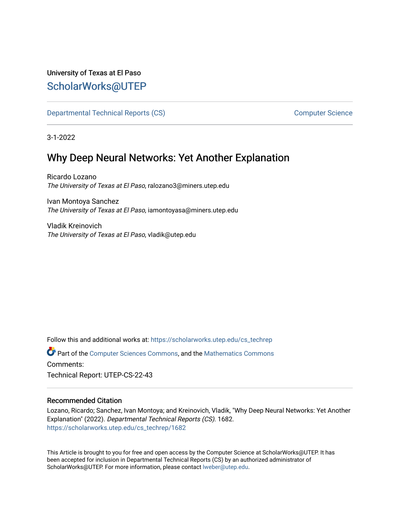# University of Texas at El Paso [ScholarWorks@UTEP](https://scholarworks.utep.edu/)

[Departmental Technical Reports \(CS\)](https://scholarworks.utep.edu/cs_techrep) [Computer Science](https://scholarworks.utep.edu/computer) 

3-1-2022

# Why Deep Neural Networks: Yet Another Explanation

Ricardo Lozano The University of Texas at El Paso, ralozano3@miners.utep.edu

Ivan Montoya Sanchez The University of Texas at El Paso, iamontoyasa@miners.utep.edu

Vladik Kreinovich The University of Texas at El Paso, vladik@utep.edu

Follow this and additional works at: [https://scholarworks.utep.edu/cs\\_techrep](https://scholarworks.utep.edu/cs_techrep?utm_source=scholarworks.utep.edu%2Fcs_techrep%2F1682&utm_medium=PDF&utm_campaign=PDFCoverPages) 

Part of the [Computer Sciences Commons](http://network.bepress.com/hgg/discipline/142?utm_source=scholarworks.utep.edu%2Fcs_techrep%2F1682&utm_medium=PDF&utm_campaign=PDFCoverPages), and the [Mathematics Commons](http://network.bepress.com/hgg/discipline/174?utm_source=scholarworks.utep.edu%2Fcs_techrep%2F1682&utm_medium=PDF&utm_campaign=PDFCoverPages)  Comments:

Technical Report: UTEP-CS-22-43

## Recommended Citation

Lozano, Ricardo; Sanchez, Ivan Montoya; and Kreinovich, Vladik, "Why Deep Neural Networks: Yet Another Explanation" (2022). Departmental Technical Reports (CS). 1682. [https://scholarworks.utep.edu/cs\\_techrep/1682](https://scholarworks.utep.edu/cs_techrep/1682?utm_source=scholarworks.utep.edu%2Fcs_techrep%2F1682&utm_medium=PDF&utm_campaign=PDFCoverPages) 

This Article is brought to you for free and open access by the Computer Science at ScholarWorks@UTEP. It has been accepted for inclusion in Departmental Technical Reports (CS) by an authorized administrator of ScholarWorks@UTEP. For more information, please contact [lweber@utep.edu](mailto:lweber@utep.edu).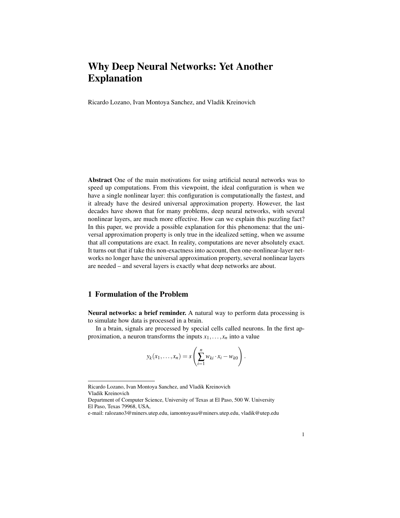## Why Deep Neural Networks: Yet Another Explanation

Ricardo Lozano, Ivan Montoya Sanchez, and Vladik Kreinovich

Abstract One of the main motivations for using artificial neural networks was to speed up computations. From this viewpoint, the ideal configuration is when we have a single nonlinear layer: this configuration is computationally the fastest, and it already have the desired universal approximation property. However, the last decades have shown that for many problems, deep neural networks, with several nonlinear layers, are much more effective. How can we explain this puzzling fact? In this paper, we provide a possible explanation for this phenomena: that the universal approximation property is only true in the idealized setting, when we assume that all computations are exact. In reality, computations are never absolutely exact. It turns out that if take this non-exactness into account, then one-nonlinear-layer networks no longer have the universal approximation property, several nonlinear layers are needed – and several layers is exactly what deep networks are about.

#### 1 Formulation of the Problem

Neural networks: a brief reminder. A natural way to perform data processing is to simulate how data is processed in a brain.

In a brain, signals are processed by special cells called neurons. In the first approximation, a neuron transforms the inputs  $x_1, \ldots, x_n$  into a value

$$
y_k(x_1,\ldots,x_n)=s\left(\sum_{i=1}^n w_{ki}\cdot x_i-w_{k0}\right).
$$

Ricardo Lozano, Ivan Montoya Sanchez, and Vladik Kreinovich Vladik Kreinovich

Department of Computer Science, University of Texas at El Paso, 500 W. University El Paso, Texas 79968, USA,

e-mail: ralozano3@miners.utep.edu, iamontoyasa@miners.utep.edu, vladik@utep.edu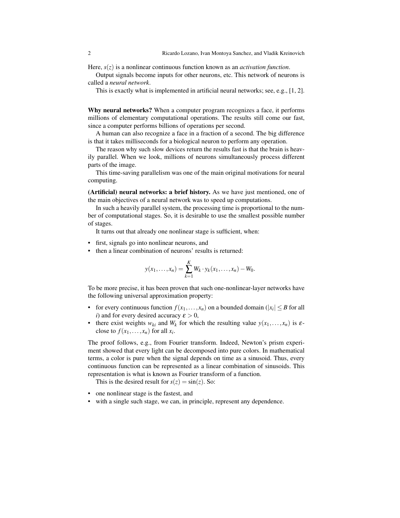Here, *s*(*z*) is a nonlinear continuous function known as an *activation function*.

Output signals become inputs for other neurons, etc. This network of neurons is called a *neural network*.

This is exactly what is implemented in artificial neural networks; see, e.g., [1, 2].

Why neural networks? When a computer program recognizes a face, it performs millions of elementary computational operations. The results still come our fast, since a computer performs billions of operations per second.

A human can also recognize a face in a fraction of a second. The big difference is that it takes milliseconds for a biological neuron to perform any operation.

The reason why such slow devices return the results fast is that the brain is heavily parallel. When we look, millions of neurons simultaneously process different parts of the image.

This time-saving parallelism was one of the main original motivations for neural computing.

(Artificial) neural networks: a brief history. As we have just mentioned, one of the main objectives of a neural network was to speed up computations.

In such a heavily parallel system, the processing time is proportional to the number of computational stages. So, it is desirable to use the smallest possible number of stages.

It turns out that already one nonlinear stage is sufficient, when:

- first, signals go into nonlinear neurons, and
- then a linear combination of neurons' results is returned:

$$
y(x_1,...,x_n) = \sum_{k=1}^K W_k \cdot y_k(x_1,...,x_n) - W_0.
$$

To be more precise, it has been proven that such one-nonlinear-layer networks have the following universal approximation property:

- for every continuous function  $f(x_1,...,x_n)$  on a bounded domain ( $|x_i| \leq B$  for all *i*) and for every desired accuracy  $\varepsilon > 0$ ,
- there exist weights  $w_{ki}$  and  $W_k$  for which the resulting value  $y(x_1,...,x_n)$  is  $\varepsilon$ close to  $f(x_1,...,x_n)$  for all  $x_i$ .

The proof follows, e.g., from Fourier transform. Indeed, Newton's prism experiment showed that every light can be decomposed into pure colors. In mathematical terms, a color is pure when the signal depends on time as a sinusoid. Thus, every continuous function can be represented as a linear combination of sinusoids. This representation is what is known as Fourier transform of a function.

This is the desired result for  $s(z) = \sin(z)$ . So:

- one nonlinear stage is the fastest, and
- with a single such stage, we can, in principle, represent any dependence.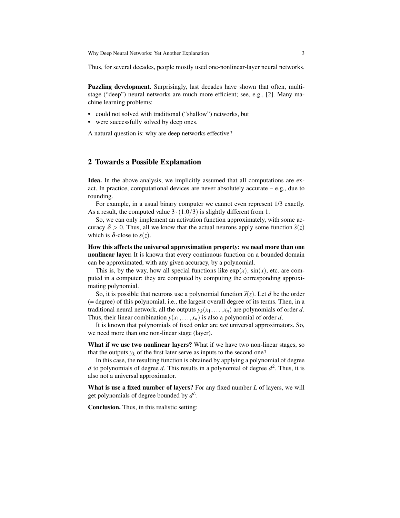Thus, for several decades, people mostly used one-nonlinear-layer neural networks.

Puzzling development. Surprisingly, last decades have shown that often, multistage ("deep") neural networks are much more efficient; see, e.g., [2]. Many machine learning problems:

- could not solved with traditional ("shallow") networks, but
- were successfully solved by deep ones.

A natural question is: why are deep networks effective?

#### 2 Towards a Possible Explanation

Idea. In the above analysis, we implicitly assumed that all computations are exact. In practice, computational devices are never absolutely accurate  $-e.g.,$  due to rounding.

For example, in a usual binary computer we cannot even represent 1/3 exactly. As a result, the computed value  $3 \cdot (1.0/3)$  is slightly different from 1.

So, we can only implement an activation function approximately, with some accuracy  $\delta > 0$ . Thus, all we know that the actual neurons apply some function  $\tilde{s}(z)$ which is  $\delta$ -close to  $s(z)$ .

How this affects the universal approximation property: we need more than one nonlinear layer. It is known that every continuous function on a bounded domain can be approximated, with any given accuracy, by a polynomial.

This is, by the way, how all special functions like  $exp(x)$ ,  $sin(x)$ , etc. are computed in a computer: they are computed by computing the corresponding approximating polynomial.

So, it is possible that neurons use a polynomial function  $\tilde{s}(z)$ . Let *d* be the order (= degree) of this polynomial, i.e., the largest overall degree of its terms. Then, in a traditional neural network, all the outputs  $y_k(x_1,...,x_n)$  are polynomials of order *d*. Thus, their linear combination  $y(x_1,...,x_n)$  is also a polynomial of order *d*.

It is known that polynomials of fixed order are *not* universal approximators. So, we need more than one non-linear stage (layer).

What if we use two nonlinear layers? What if we have two non-linear stages, so that the outputs  $y_k$  of the first later serve as inputs to the second one?

In this case, the resulting function is obtained by applying a polynomial of degree *d* to polynomials of degree *d*. This results in a polynomial of degree *d* 2 . Thus, it is also not a universal approximator.

What is use a fixed number of layers? For any fixed number *L* of layers, we will get polynomials of degree bounded by *d L* .

Conclusion. Thus, in this realistic setting: